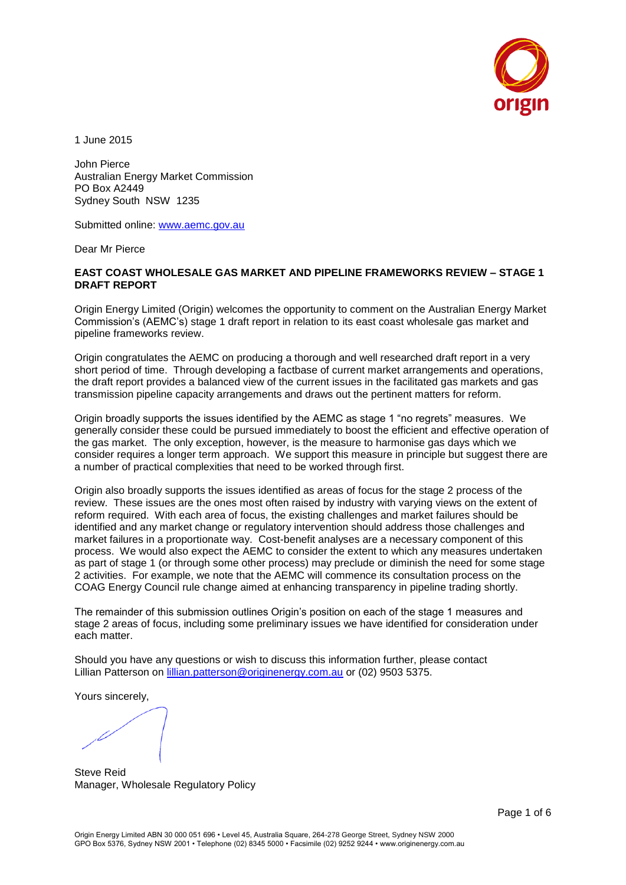

1 June 2015

John Pierce Australian Energy Market Commission PO Box A2449 Sydney South NSW 1235

Submitted online: [www.aemc.gov.au](http://www.aemc.gov.au/)

Dear Mr Pierce

### **EAST COAST WHOLESALE GAS MARKET AND PIPELINE FRAMEWORKS REVIEW – STAGE 1 DRAFT REPORT**

Origin Energy Limited (Origin) welcomes the opportunity to comment on the Australian Energy Market Commission's (AEMC's) stage 1 draft report in relation to its east coast wholesale gas market and pipeline frameworks review.

Origin congratulates the AEMC on producing a thorough and well researched draft report in a very short period of time. Through developing a factbase of current market arrangements and operations, the draft report provides a balanced view of the current issues in the facilitated gas markets and gas transmission pipeline capacity arrangements and draws out the pertinent matters for reform.

Origin broadly supports the issues identified by the AEMC as stage 1 "no regrets" measures. We generally consider these could be pursued immediately to boost the efficient and effective operation of the gas market. The only exception, however, is the measure to harmonise gas days which we consider requires a longer term approach. We support this measure in principle but suggest there are a number of practical complexities that need to be worked through first.

Origin also broadly supports the issues identified as areas of focus for the stage 2 process of the review. These issues are the ones most often raised by industry with varying views on the extent of reform required. With each area of focus, the existing challenges and market failures should be identified and any market change or regulatory intervention should address those challenges and market failures in a proportionate way. Cost-benefit analyses are a necessary component of this process. We would also expect the AEMC to consider the extent to which any measures undertaken as part of stage 1 (or through some other process) may preclude or diminish the need for some stage 2 activities. For example, we note that the AEMC will commence its consultation process on the COAG Energy Council rule change aimed at enhancing transparency in pipeline trading shortly.

The remainder of this submission outlines Origin's position on each of the stage 1 measures and stage 2 areas of focus, including some preliminary issues we have identified for consideration under each matter.

Should you have any questions or wish to discuss this information further, please contact Lillian Patterson on [lillian.patterson@originenergy.com.au](mailto:lillian.patterson@originenergy.com.au) or (02) 9503 5375.

Yours sincerely,

Steve Reid Manager, Wholesale Regulatory Policy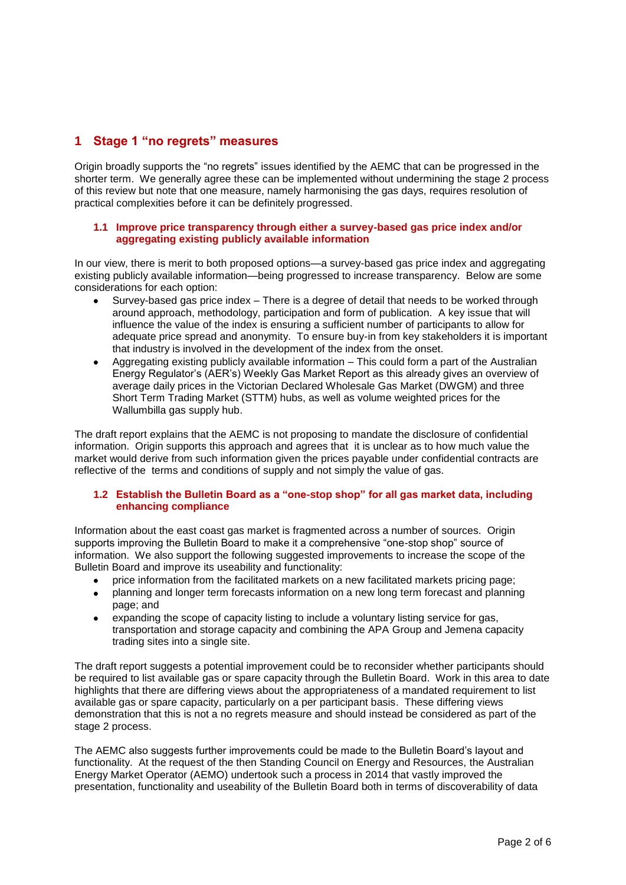# **1 Stage 1 "no regrets" measures**

Origin broadly supports the "no regrets" issues identified by the AEMC that can be progressed in the shorter term. We generally agree these can be implemented without undermining the stage 2 process of this review but note that one measure, namely harmonising the gas days, requires resolution of practical complexities before it can be definitely progressed.

### **1.1 Improve price transparency through either a survey-based gas price index and/or aggregating existing publicly available information**

In our view, there is merit to both proposed options—a survey-based gas price index and aggregating existing publicly available information—being progressed to increase transparency. Below are some considerations for each option:

- Survey-based gas price index There is a degree of detail that needs to be worked through around approach, methodology, participation and form of publication. A key issue that will influence the value of the index is ensuring a sufficient number of participants to allow for adequate price spread and anonymity. To ensure buy-in from key stakeholders it is important that industry is involved in the development of the index from the onset.
- Aggregating existing publicly available information This could form a part of the Australian Energy Regulator's (AER's) Weekly Gas Market Report as this already gives an overview of average daily prices in the Victorian Declared Wholesale Gas Market (DWGM) and three Short Term Trading Market (STTM) hubs, as well as volume weighted prices for the Wallumbilla gas supply hub.

The draft report explains that the AEMC is not proposing to mandate the disclosure of confidential information. Origin supports this approach and agrees that it is unclear as to how much value the market would derive from such information given the prices payable under confidential contracts are reflective of the terms and conditions of supply and not simply the value of gas.

### **1.2 Establish the Bulletin Board as a "one-stop shop" for all gas market data, including enhancing compliance**

Information about the east coast gas market is fragmented across a number of sources. Origin supports improving the Bulletin Board to make it a comprehensive "one-stop shop" source of information. We also support the following suggested improvements to increase the scope of the Bulletin Board and improve its useability and functionality:

- price information from the facilitated markets on a new facilitated markets pricing page;
- planning and longer term forecasts information on a new long term forecast and planning page; and
- expanding the scope of capacity listing to include a voluntary listing service for gas, transportation and storage capacity and combining the APA Group and Jemena capacity trading sites into a single site.

The draft report suggests a potential improvement could be to reconsider whether participants should be required to list available gas or spare capacity through the Bulletin Board. Work in this area to date highlights that there are differing views about the appropriateness of a mandated requirement to list available gas or spare capacity, particularly on a per participant basis. These differing views demonstration that this is not a no regrets measure and should instead be considered as part of the stage 2 process.

The AEMC also suggests further improvements could be made to the Bulletin Board's layout and functionality. At the request of the then Standing Council on Energy and Resources, the Australian Energy Market Operator (AEMO) undertook such a process in 2014 that vastly improved the presentation, functionality and useability of the Bulletin Board both in terms of discoverability of data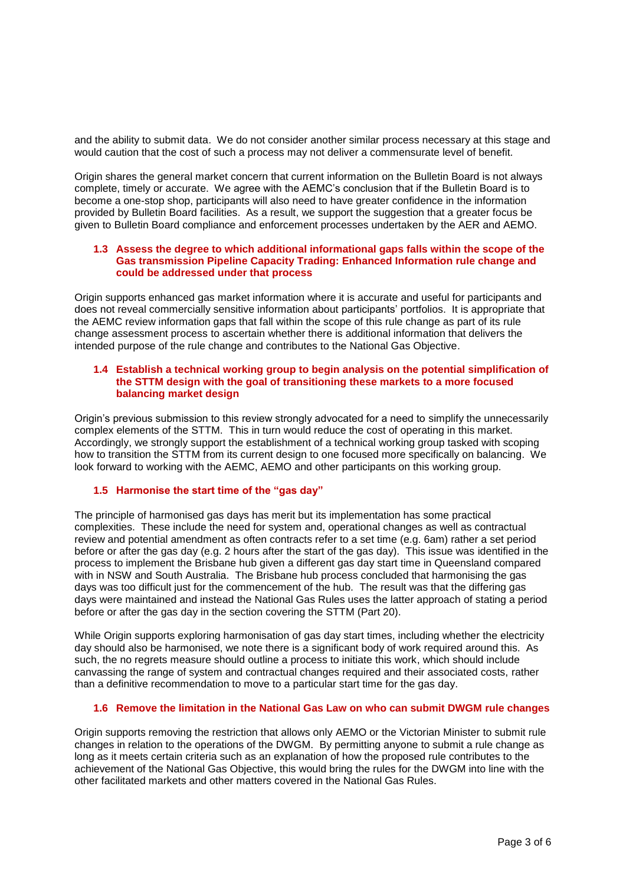and the ability to submit data. We do not consider another similar process necessary at this stage and would caution that the cost of such a process may not deliver a commensurate level of benefit.

Origin shares the general market concern that current information on the Bulletin Board is not always complete, timely or accurate. We agree with the AEMC's conclusion that if the Bulletin Board is to become a one-stop shop, participants will also need to have greater confidence in the information provided by Bulletin Board facilities. As a result, we support the suggestion that a greater focus be given to Bulletin Board compliance and enforcement processes undertaken by the AER and AEMO.

### **1.3 Assess the degree to which additional informational gaps falls within the scope of the Gas transmission Pipeline Capacity Trading: Enhanced Information rule change and could be addressed under that process**

Origin supports enhanced gas market information where it is accurate and useful for participants and does not reveal commercially sensitive information about participants' portfolios. It is appropriate that the AEMC review information gaps that fall within the scope of this rule change as part of its rule change assessment process to ascertain whether there is additional information that delivers the intended purpose of the rule change and contributes to the National Gas Objective.

### **1.4 Establish a technical working group to begin analysis on the potential simplification of the STTM design with the goal of transitioning these markets to a more focused balancing market design**

Origin's previous submission to this review strongly advocated for a need to simplify the unnecessarily complex elements of the STTM. This in turn would reduce the cost of operating in this market. Accordingly, we strongly support the establishment of a technical working group tasked with scoping how to transition the STTM from its current design to one focused more specifically on balancing. We look forward to working with the AEMC, AEMO and other participants on this working group.

## **1.5 Harmonise the start time of the "gas day"**

The principle of harmonised gas days has merit but its implementation has some practical complexities. These include the need for system and, operational changes as well as contractual review and potential amendment as often contracts refer to a set time (e.g. 6am) rather a set period before or after the gas day (e.g. 2 hours after the start of the gas day). This issue was identified in the process to implement the Brisbane hub given a different gas day start time in Queensland compared with in NSW and South Australia. The Brisbane hub process concluded that harmonising the gas days was too difficult just for the commencement of the hub. The result was that the differing gas days were maintained and instead the National Gas Rules uses the latter approach of stating a period before or after the gas day in the section covering the STTM (Part 20).

While Origin supports exploring harmonisation of gas day start times, including whether the electricity day should also be harmonised, we note there is a significant body of work required around this. As such, the no regrets measure should outline a process to initiate this work, which should include canvassing the range of system and contractual changes required and their associated costs, rather than a definitive recommendation to move to a particular start time for the gas day.

### **1.6 Remove the limitation in the National Gas Law on who can submit DWGM rule changes**

Origin supports removing the restriction that allows only AEMO or the Victorian Minister to submit rule changes in relation to the operations of the DWGM. By permitting anyone to submit a rule change as long as it meets certain criteria such as an explanation of how the proposed rule contributes to the achievement of the National Gas Objective, this would bring the rules for the DWGM into line with the other facilitated markets and other matters covered in the National Gas Rules.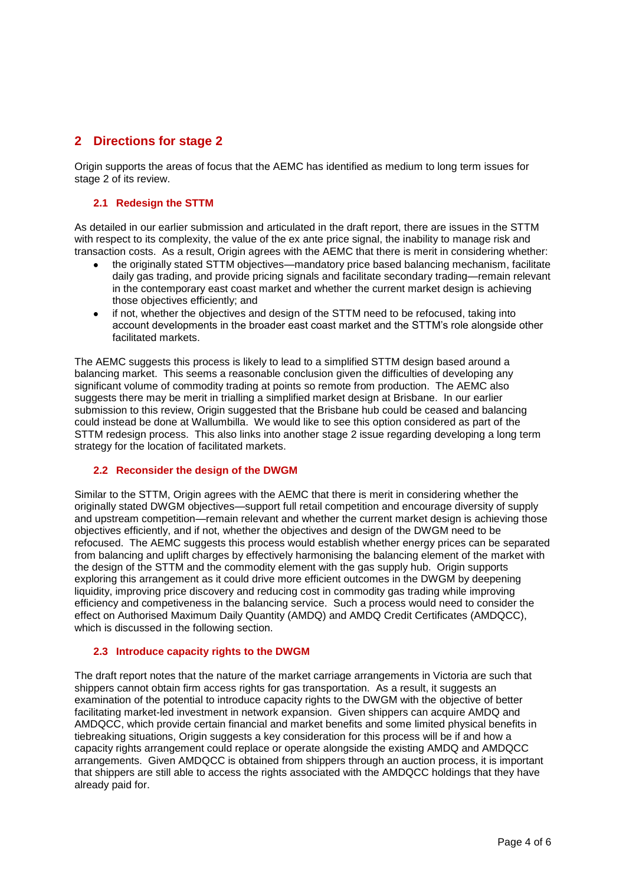## **2 Directions for stage 2**

Origin supports the areas of focus that the AEMC has identified as medium to long term issues for stage 2 of its review.

### **2.1 Redesign the STTM**

As detailed in our earlier submission and articulated in the draft report, there are issues in the STTM with respect to its complexity, the value of the ex ante price signal, the inability to manage risk and transaction costs. As a result, Origin agrees with the AEMC that there is merit in considering whether:

- the originally stated STTM objectives—mandatory price based balancing mechanism, facilitate daily gas trading, and provide pricing signals and facilitate secondary trading—remain relevant in the contemporary east coast market and whether the current market design is achieving those objectives efficiently; and
- if not, whether the objectives and design of the STTM need to be refocused, taking into account developments in the broader east coast market and the STTM's role alongside other facilitated markets.

The AEMC suggests this process is likely to lead to a simplified STTM design based around a balancing market. This seems a reasonable conclusion given the difficulties of developing any significant volume of commodity trading at points so remote from production. The AEMC also suggests there may be merit in trialling a simplified market design at Brisbane. In our earlier submission to this review. Origin suggested that the Brisbane hub could be ceased and balancing could instead be done at Wallumbilla. We would like to see this option considered as part of the STTM redesign process. This also links into another stage 2 issue regarding developing a long term strategy for the location of facilitated markets.

### **2.2 Reconsider the design of the DWGM**

Similar to the STTM, Origin agrees with the AEMC that there is merit in considering whether the originally stated DWGM objectives—support full retail competition and encourage diversity of supply and upstream competition—remain relevant and whether the current market design is achieving those objectives efficiently, and if not, whether the objectives and design of the DWGM need to be refocused. The AEMC suggests this process would establish whether energy prices can be separated from balancing and uplift charges by effectively harmonising the balancing element of the market with the design of the STTM and the commodity element with the gas supply hub. Origin supports exploring this arrangement as it could drive more efficient outcomes in the DWGM by deepening liquidity, improving price discovery and reducing cost in commodity gas trading while improving efficiency and competiveness in the balancing service. Such a process would need to consider the effect on Authorised Maximum Daily Quantity (AMDQ) and AMDQ Credit Certificates (AMDQCC), which is discussed in the following section.

### **2.3 Introduce capacity rights to the DWGM**

The draft report notes that the nature of the market carriage arrangements in Victoria are such that shippers cannot obtain firm access rights for gas transportation. As a result, it suggests an examination of the potential to introduce capacity rights to the DWGM with the objective of better facilitating market-led investment in network expansion. Given shippers can acquire AMDQ and AMDQCC, which provide certain financial and market benefits and some limited physical benefits in tiebreaking situations, Origin suggests a key consideration for this process will be if and how a capacity rights arrangement could replace or operate alongside the existing AMDQ and AMDQCC arrangements. Given AMDQCC is obtained from shippers through an auction process, it is important that shippers are still able to access the rights associated with the AMDQCC holdings that they have already paid for.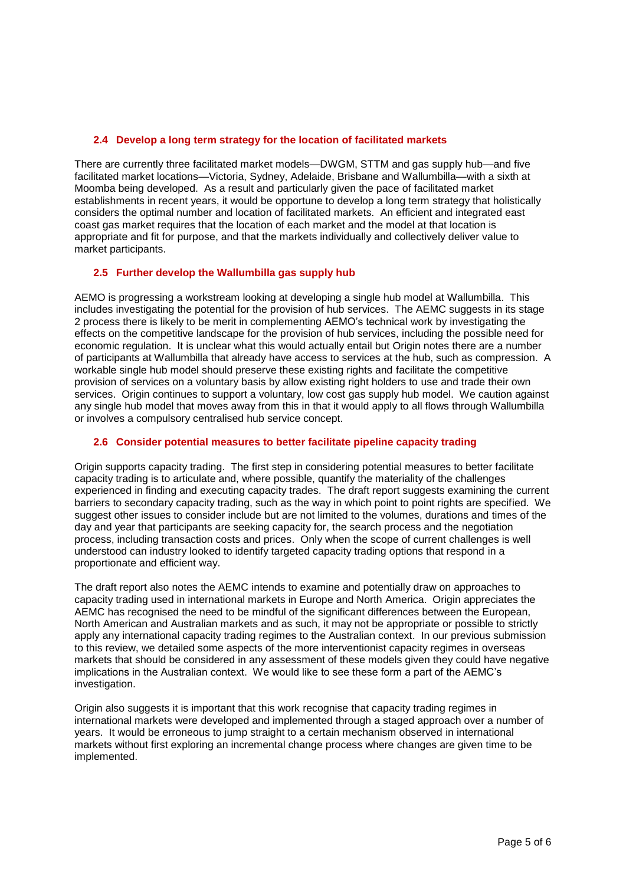### **2.4 Develop a long term strategy for the location of facilitated markets**

There are currently three facilitated market models—DWGM, STTM and gas supply hub—and five facilitated market locations—Victoria, Sydney, Adelaide, Brisbane and Wallumbilla—with a sixth at Moomba being developed. As a result and particularly given the pace of facilitated market establishments in recent years, it would be opportune to develop a long term strategy that holistically considers the optimal number and location of facilitated markets. An efficient and integrated east coast gas market requires that the location of each market and the model at that location is appropriate and fit for purpose, and that the markets individually and collectively deliver value to market participants.

### **2.5 Further develop the Wallumbilla gas supply hub**

AEMO is progressing a workstream looking at developing a single hub model at Wallumbilla. This includes investigating the potential for the provision of hub services. The AEMC suggests in its stage 2 process there is likely to be merit in complementing AEMO's technical work by investigating the effects on the competitive landscape for the provision of hub services, including the possible need for economic regulation. It is unclear what this would actually entail but Origin notes there are a number of participants at Wallumbilla that already have access to services at the hub, such as compression. A workable single hub model should preserve these existing rights and facilitate the competitive provision of services on a voluntary basis by allow existing right holders to use and trade their own services. Origin continues to support a voluntary, low cost gas supply hub model. We caution against any single hub model that moves away from this in that it would apply to all flows through Wallumbilla or involves a compulsory centralised hub service concept.

### **2.6 Consider potential measures to better facilitate pipeline capacity trading**

Origin supports capacity trading. The first step in considering potential measures to better facilitate capacity trading is to articulate and, where possible, quantify the materiality of the challenges experienced in finding and executing capacity trades. The draft report suggests examining the current barriers to secondary capacity trading, such as the way in which point to point rights are specified. We suggest other issues to consider include but are not limited to the volumes, durations and times of the day and year that participants are seeking capacity for, the search process and the negotiation process, including transaction costs and prices. Only when the scope of current challenges is well understood can industry looked to identify targeted capacity trading options that respond in a proportionate and efficient way.

The draft report also notes the AEMC intends to examine and potentially draw on approaches to capacity trading used in international markets in Europe and North America. Origin appreciates the AEMC has recognised the need to be mindful of the significant differences between the European, North American and Australian markets and as such, it may not be appropriate or possible to strictly apply any international capacity trading regimes to the Australian context. In our previous submission to this review, we detailed some aspects of the more interventionist capacity regimes in overseas markets that should be considered in any assessment of these models given they could have negative implications in the Australian context. We would like to see these form a part of the AEMC's investigation.

Origin also suggests it is important that this work recognise that capacity trading regimes in international markets were developed and implemented through a staged approach over a number of years. It would be erroneous to jump straight to a certain mechanism observed in international markets without first exploring an incremental change process where changes are given time to be implemented.